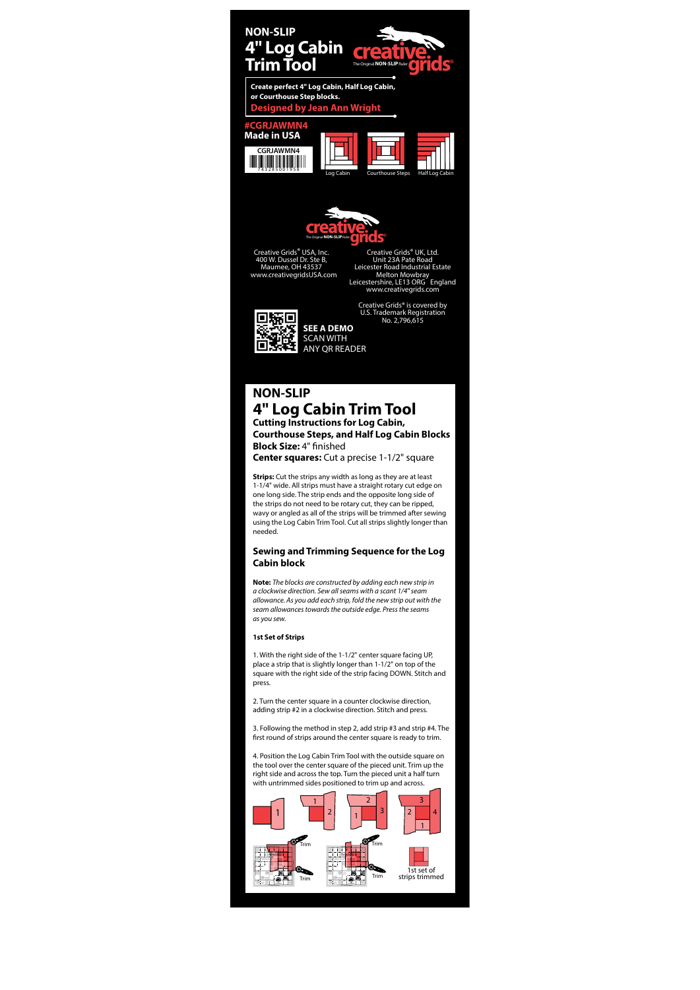# **NON-SLIP 4" Log Cabin Trim Tool Cutting Instructions for Log Cabin,**

**Courthouse Steps, and Half Log Cabin Blocks Block Size: 4" finished** 

**Center squares:** Cut a precise 1-1/2" square

**Strips:** Cut the strips any width as long as they are at least 1-1/4" wide. All strips must have a straight rotary cut edge on one long side. The strip ends and the opposite long side of the strips do not need to be rotary cut, they can be ripped, wavy or angled as all of the strips will be trimmed after sewing using the Log Cabin Trim Tool. Cut all strips slightly longer than needed.

## **Sewing and Trimming Sequence for the Log Cabin block**

3. Following the method in step 2, add strip #3 and strip #4. The first round of strips around the center square is ready to trim.

**Note:** The blocks are constructed by adding each new strip in a clockwise direction. Sew all seams with a scant 1/4" seam allowance. As you add each strip, fold the new strip out with the seam allowances towards the outside edge. Press the seams as you sew.

#### **1st Set of Strips**

1. With the right side of the 1-1/2" center square facing UP, place a strip that is slightly longer than 1-1/2" on top of the square with the right side of the strip facing DOWN. Stitch and press.

2. Turn the center square in a counter clockwise direction, adding strip #2 in a clockwise direction. Stitch and press.

4. Position the Log Cabin Trim Tool with the outside square on the tool over the center square of the pieced unit. Trim up the right side and across the top. Turn the pieced unit a half turn with untrimmed sides positioned to trim up and across.

**SEE A DEMO** SCAN WITH ANY QR READER

Creative Grids® USA, Inc. 400 W. Dussel Dr. Ste B, Maumee, OH 43537 www.creativegridsUSA.com

Creative Grids® UK, Ltd. Unit 23A Pate Road Leicester Road Industrial Estate Melton Mowbray Leicestershire, LE13 ORG England www.creativegrids.com







Creative Grids® is covered by U.S. Trademark Registration No. 2,796,615